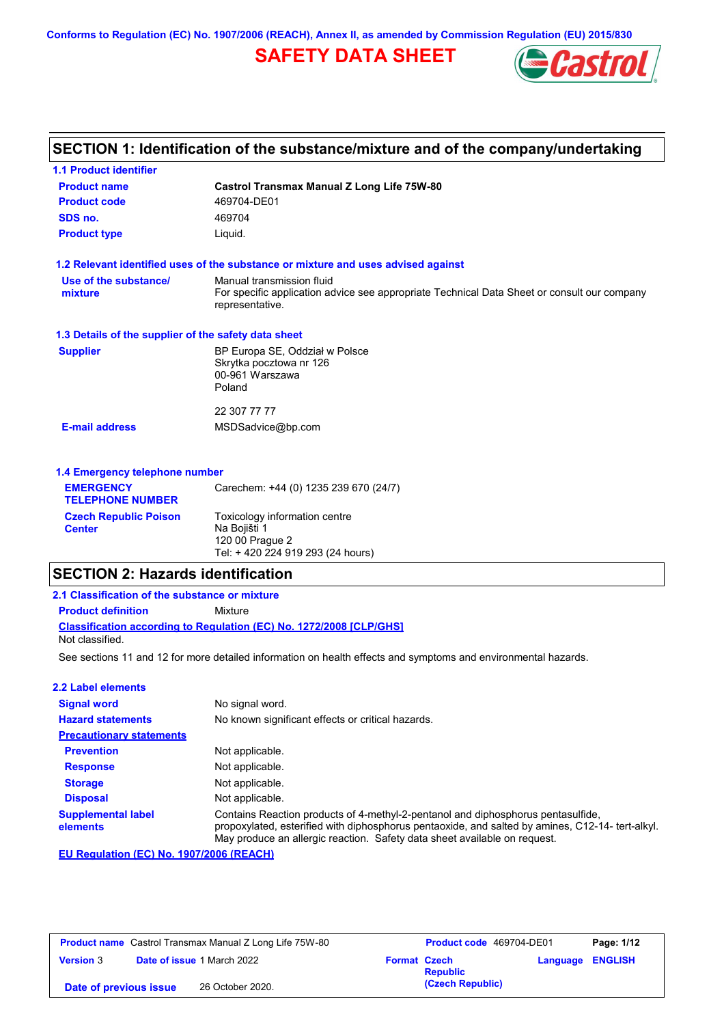**Conforms to Regulation (EC) No. 1907/2006 (REACH), Annex II, as amended by Commission Regulation (EU) 2015/830**

## **SAFETY DATA SHEET**



## **SECTION 1: Identification of the substance/mixture and of the company/undertaking**

| <b>1.1 Product identifier</b>                        |                                                                                                                                             |
|------------------------------------------------------|---------------------------------------------------------------------------------------------------------------------------------------------|
| <b>Product name</b>                                  | <b>Castrol Transmax Manual Z Long Life 75W-80</b>                                                                                           |
| <b>Product code</b>                                  | 469704-DE01                                                                                                                                 |
| SDS no.                                              | 469704                                                                                                                                      |
| <b>Product type</b>                                  | Liquid.                                                                                                                                     |
|                                                      | 1.2 Relevant identified uses of the substance or mixture and uses advised against                                                           |
| Use of the substance/<br>mixture                     | Manual transmission fluid<br>For specific application advice see appropriate Technical Data Sheet or consult our company<br>representative. |
| 1.3 Details of the supplier of the safety data sheet |                                                                                                                                             |
| <b>Supplier</b>                                      | BP Europa SE, Oddział w Polsce<br>Skrytka pocztowa nr 126<br>00-961 Warszawa<br>Poland                                                      |
|                                                      | 22 307 77 77                                                                                                                                |
| <b>E-mail address</b>                                | MSDSadvice@bp.com                                                                                                                           |
| 1.4 Emergency telephone number                       |                                                                                                                                             |
| <b>EMERGENCY</b><br><b>TELEPHONE NUMBER</b>          | Carechem: +44 (0) 1235 239 670 (24/7)                                                                                                       |
| <b>Czech Republic Poison</b><br><b>Center</b>        | Toxicology information centre<br>Na Bojišti 1                                                                                               |

### **SECTION 2: Hazards identification**

See sections 11 and 12 for more detailed information on health effects and symptoms and environmental hazards. **Classification according to Regulation (EC) No. 1272/2008 [CLP/GHS] 2.1 Classification of the substance or mixture Product definition** Mixture Not classified.

Tel: + 420 224 919 293 (24 hours)

120 00 Prague 2

| 2.2 Label elements                    |                                                                                                                                                                                                                                                                   |
|---------------------------------------|-------------------------------------------------------------------------------------------------------------------------------------------------------------------------------------------------------------------------------------------------------------------|
| <b>Signal word</b>                    | No signal word.                                                                                                                                                                                                                                                   |
| <b>Hazard statements</b>              | No known significant effects or critical hazards.                                                                                                                                                                                                                 |
| <b>Precautionary statements</b>       |                                                                                                                                                                                                                                                                   |
| <b>Prevention</b>                     | Not applicable.                                                                                                                                                                                                                                                   |
| <b>Response</b>                       | Not applicable.                                                                                                                                                                                                                                                   |
| <b>Storage</b>                        | Not applicable.                                                                                                                                                                                                                                                   |
| <b>Disposal</b>                       | Not applicable.                                                                                                                                                                                                                                                   |
| <b>Supplemental label</b><br>elements | Contains Reaction products of 4-methyl-2-pentanol and diphosphorus pentasulfide,<br>propoxylated, esterified with diphosphorus pentaoxide, and salted by amines, C12-14- tert-alkyl.<br>May produce an allergic reaction. Safety data sheet available on request. |

**EU Regulation (EC) No. 1907/2006 (REACH)**

| <b>Product name</b> Castrol Transmax Manual Z Long Life 75W-80 |  | <b>Product code</b> 469704-DE01   |                     | Page: 1/12       |                         |  |
|----------------------------------------------------------------|--|-----------------------------------|---------------------|------------------|-------------------------|--|
| <b>Version 3</b>                                               |  | <b>Date of issue 1 March 2022</b> | <b>Format Czech</b> | <b>Republic</b>  | <b>Language ENGLISH</b> |  |
| Date of previous issue                                         |  | 26 October 2020.                  |                     | (Czech Republic) |                         |  |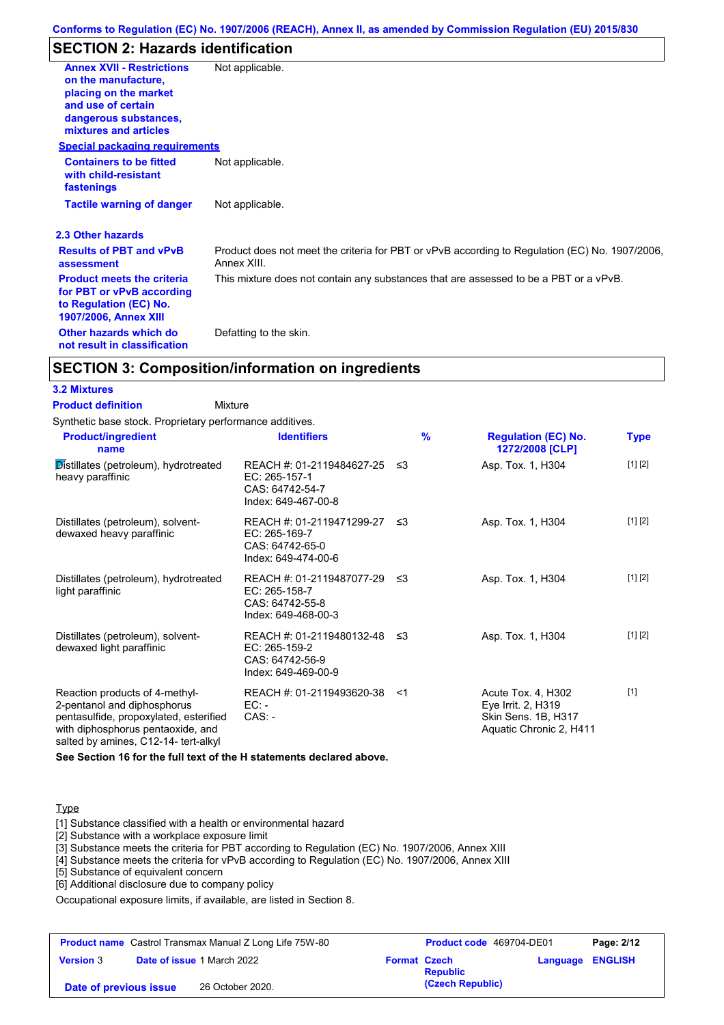## **SECTION 2: Hazards identification**

| <b>Annex XVII - Restrictions</b><br>on the manufacture,<br>placing on the market<br>and use of certain<br>dangerous substances,<br>mixtures and articles | Not applicable.                                                                                               |
|----------------------------------------------------------------------------------------------------------------------------------------------------------|---------------------------------------------------------------------------------------------------------------|
| <b>Special packaging requirements</b>                                                                                                                    |                                                                                                               |
| <b>Containers to be fitted</b><br>with child-resistant<br>fastenings                                                                                     | Not applicable.                                                                                               |
| <b>Tactile warning of danger</b>                                                                                                                         | Not applicable.                                                                                               |
| 2.3 Other hazards                                                                                                                                        |                                                                                                               |
| <b>Results of PBT and vPvB</b><br>assessment                                                                                                             | Product does not meet the criteria for PBT or vPvB according to Regulation (EC) No. 1907/2006,<br>Annex XIII. |
| <b>Product meets the criteria</b><br>for PBT or vPvB according<br>to Regulation (EC) No.<br><b>1907/2006, Annex XIII</b>                                 | This mixture does not contain any substances that are assessed to be a PBT or a vPvB.                         |
| Other hazards which do<br>not result in classification                                                                                                   | Defatting to the skin.                                                                                        |

### **SECTION 3: Composition/information on ingredients**

#### **3.2 Mixtures**

| 3.2 Mixtures                                                                                                                                 |                                                                                         |               |                                                                                            |             |
|----------------------------------------------------------------------------------------------------------------------------------------------|-----------------------------------------------------------------------------------------|---------------|--------------------------------------------------------------------------------------------|-------------|
| <b>Product definition</b><br>Mixture                                                                                                         |                                                                                         |               |                                                                                            |             |
| Synthetic base stock. Proprietary performance additives.                                                                                     |                                                                                         |               |                                                                                            |             |
| <b>Product/ingredient</b><br>name                                                                                                            | <b>Identifiers</b>                                                                      | $\frac{9}{6}$ | <b>Regulation (EC) No.</b><br>1272/2008 [CLP]                                              | <b>Type</b> |
| Distillates (petroleum), hydrotreated<br>heavy paraffinic                                                                                    | REACH #: 01-2119484627-25 ≤3<br>EC: 265-157-1<br>CAS: 64742-54-7<br>Index: 649-467-00-8 |               | Asp. Tox. 1, H304                                                                          | [1] [2]     |
| Distillates (petroleum), solvent-<br>dewaxed heavy paraffinic                                                                                | REACH #: 01-2119471299-27 ≤3<br>EC: 265-169-7<br>CAS: 64742-65-0<br>Index: 649-474-00-6 |               | Asp. Tox. 1, H304                                                                          | [1] [2]     |
| Distillates (petroleum), hydrotreated<br>light paraffinic                                                                                    | REACH #: 01-2119487077-29 ≤3<br>EC: 265-158-7<br>CAS: 64742-55-8<br>Index: 649-468-00-3 |               | Asp. Tox. 1, H304                                                                          | [1] [2]     |
| Distillates (petroleum), solvent-<br>dewaxed light paraffinic                                                                                | REACH #: 01-2119480132-48 ≤3<br>EC: 265-159-2<br>CAS: 64742-56-9<br>Index: 649-469-00-9 |               | Asp. Tox. 1, H304                                                                          | [1] [2]     |
| Reaction products of 4-methyl-<br>2-pentanol and diphosphorus<br>pentasulfide, propoxylated, esterified<br>with diphosphorus pentaoxide, and | REACH #: 01-2119493620-38 <1<br>$EC: -$<br>$CAS: -$                                     |               | Acute Tox. 4, H302<br>Eye Irrit. 2, H319<br>Skin Sens. 1B, H317<br>Aquatic Chronic 2, H411 | $[1]$       |

**See Section 16 for the full text of the H statements declared above.**

#### **Type**

[1] Substance classified with a health or environmental hazard

[2] Substance with a workplace exposure limit

[3] Substance meets the criteria for PBT according to Regulation (EC) No. 1907/2006, Annex XIII

[4] Substance meets the criteria for vPvB according to Regulation (EC) No. 1907/2006, Annex XIII

[5] Substance of equivalent concern

salted by amines, C12-14- tert-alkyl

[6] Additional disclosure due to company policy

Occupational exposure limits, if available, are listed in Section 8.

| <b>Product name</b> Castrol Transmax Manual Z Long Life 75W-80 |                                   | Product code 469704-DE01 |                  | Page: 2/12 |                         |
|----------------------------------------------------------------|-----------------------------------|--------------------------|------------------|------------|-------------------------|
| <b>Version 3</b>                                               | <b>Date of issue 1 March 2022</b> | <b>Format Czech</b>      | <b>Republic</b>  |            | <b>Language ENGLISH</b> |
| 26 October 2020.<br>Date of previous issue                     |                                   |                          | (Czech Republic) |            |                         |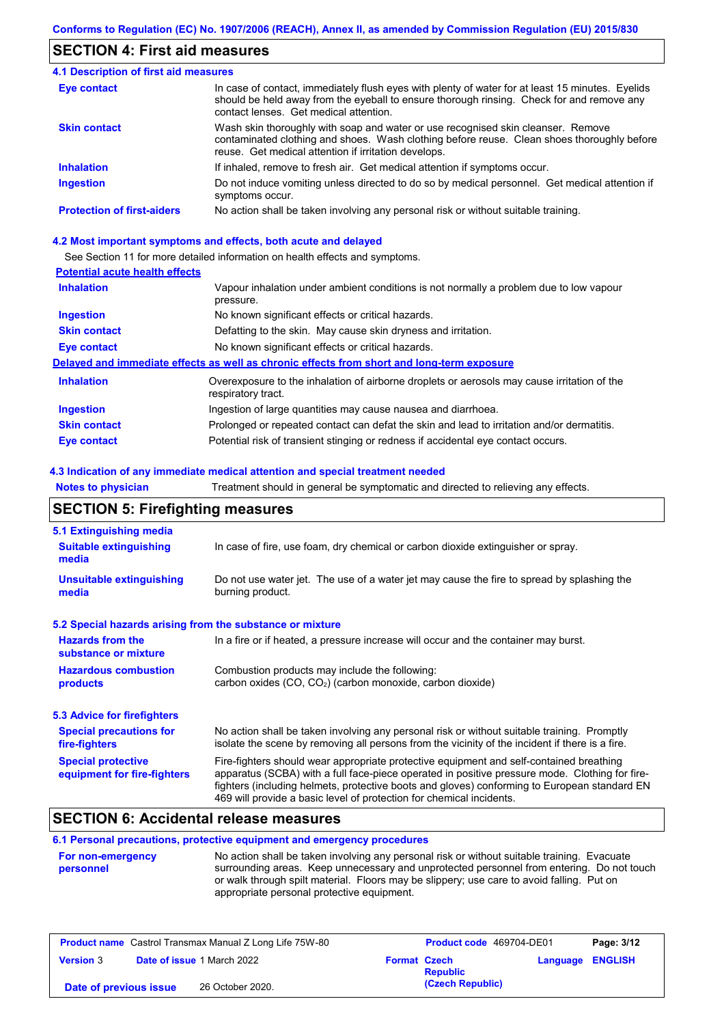## **SECTION 4: First aid measures**

| <b>4.1 Description of first aid measures</b> |                                                                                                                                                                                                                                         |
|----------------------------------------------|-----------------------------------------------------------------------------------------------------------------------------------------------------------------------------------------------------------------------------------------|
| Eye contact                                  | In case of contact, immediately flush eyes with plenty of water for at least 15 minutes. Eyelids<br>should be held away from the eyeball to ensure thorough rinsing. Check for and remove any<br>contact lenses. Get medical attention. |
| <b>Skin contact</b>                          | Wash skin thoroughly with soap and water or use recognised skin cleanser. Remove<br>contaminated clothing and shoes. Wash clothing before reuse. Clean shoes thoroughly before<br>reuse. Get medical attention if irritation develops.  |
| <b>Inhalation</b>                            | If inhaled, remove to fresh air. Get medical attention if symptoms occur.                                                                                                                                                               |
| <b>Ingestion</b>                             | Do not induce vomiting unless directed to do so by medical personnel. Get medical attention if<br>symptoms occur.                                                                                                                       |
| <b>Protection of first-aiders</b>            | No action shall be taken involving any personal risk or without suitable training.                                                                                                                                                      |

#### **4.2 Most important symptoms and effects, both acute and delayed**

See Section 11 for more detailed information on health effects and symptoms.

#### **Potential acute health effects**

| <b>Inhalation</b>   | Vapour inhalation under ambient conditions is not normally a problem due to low vapour<br>pressure.               |
|---------------------|-------------------------------------------------------------------------------------------------------------------|
| <b>Ingestion</b>    | No known significant effects or critical hazards.                                                                 |
| <b>Skin contact</b> | Defatting to the skin. May cause skin dryness and irritation.                                                     |
| Eye contact         | No known significant effects or critical hazards.                                                                 |
|                     | Delayed and immediate effects as well as chronic effects from short and long-term exposure                        |
| <b>Inhalation</b>   | Overexposure to the inhalation of airborne droplets or aerosols may cause irritation of the<br>respiratory tract. |
| <b>Ingestion</b>    | Ingestion of large quantities may cause nausea and diarrhoea.                                                     |
| <b>Skin contact</b> | Prolonged or repeated contact can defat the skin and lead to irritation and/or dermatitis.                        |
| Eye contact         | Potential risk of transient stinging or redness if accidental eye contact occurs.                                 |

#### **4.3 Indication of any immediate medical attention and special treatment needed**

**Notes to physician** Treatment should in general be symptomatic and directed to relieving any effects.

## **SECTION 5: Firefighting measures**

| 5.1 Extinguishing media                                                                                                                                             |                                                                                                                                                                                                                                                                                                                                                                   |  |  |
|---------------------------------------------------------------------------------------------------------------------------------------------------------------------|-------------------------------------------------------------------------------------------------------------------------------------------------------------------------------------------------------------------------------------------------------------------------------------------------------------------------------------------------------------------|--|--|
| <b>Suitable extinguishing</b><br>In case of fire, use foam, dry chemical or carbon dioxide extinguisher or spray.<br>media                                          |                                                                                                                                                                                                                                                                                                                                                                   |  |  |
| <b>Unsuitable extinguishing</b><br>Do not use water jet. The use of a water jet may cause the fire to spread by splashing the<br>burning product.<br>media          |                                                                                                                                                                                                                                                                                                                                                                   |  |  |
| 5.2 Special hazards arising from the substance or mixture                                                                                                           |                                                                                                                                                                                                                                                                                                                                                                   |  |  |
| <b>Hazards from the</b><br>substance or mixture                                                                                                                     | In a fire or if heated, a pressure increase will occur and the container may burst.                                                                                                                                                                                                                                                                               |  |  |
| <b>Hazardous combustion</b><br>Combustion products may include the following:<br>carbon oxides (CO, CO <sub>2</sub> ) (carbon monoxide, carbon dioxide)<br>products |                                                                                                                                                                                                                                                                                                                                                                   |  |  |
| 5.3 Advice for firefighters                                                                                                                                         |                                                                                                                                                                                                                                                                                                                                                                   |  |  |
| <b>Special precautions for</b><br>fire-fighters                                                                                                                     | No action shall be taken involving any personal risk or without suitable training. Promptly<br>isolate the scene by removing all persons from the vicinity of the incident if there is a fire.                                                                                                                                                                    |  |  |
| <b>Special protective</b><br>equipment for fire-fighters                                                                                                            | Fire-fighters should wear appropriate protective equipment and self-contained breathing<br>apparatus (SCBA) with a full face-piece operated in positive pressure mode. Clothing for fire-<br>fighters (including helmets, protective boots and gloves) conforming to European standard EN<br>469 will provide a basic level of protection for chemical incidents. |  |  |

## **SECTION 6: Accidental release measures**

### **6.1 Personal precautions, protective equipment and emergency procedures**

| <b>For non-emergency</b> | No action shall be taken involving any personal risk or without suitable training. Evacuate |
|--------------------------|---------------------------------------------------------------------------------------------|
| personnel                | surrounding areas. Keep unnecessary and unprotected personnel from entering. Do not touch   |
|                          | or walk through spilt material. Floors may be slippery; use care to avoid falling. Put on   |
|                          | appropriate personal protective equipment.                                                  |

| <b>Product name</b> Castrol Transmax Manual Z Long Life 75W-80 |                                   | Product code 469704-DE01 |                  | Page: 3/12       |  |
|----------------------------------------------------------------|-----------------------------------|--------------------------|------------------|------------------|--|
| <b>Version 3</b>                                               | <b>Date of issue 1 March 2022</b> | <b>Format Czech</b>      | <b>Republic</b>  | Language ENGLISH |  |
| 26 October 2020.<br>Date of previous issue                     |                                   |                          | (Czech Republic) |                  |  |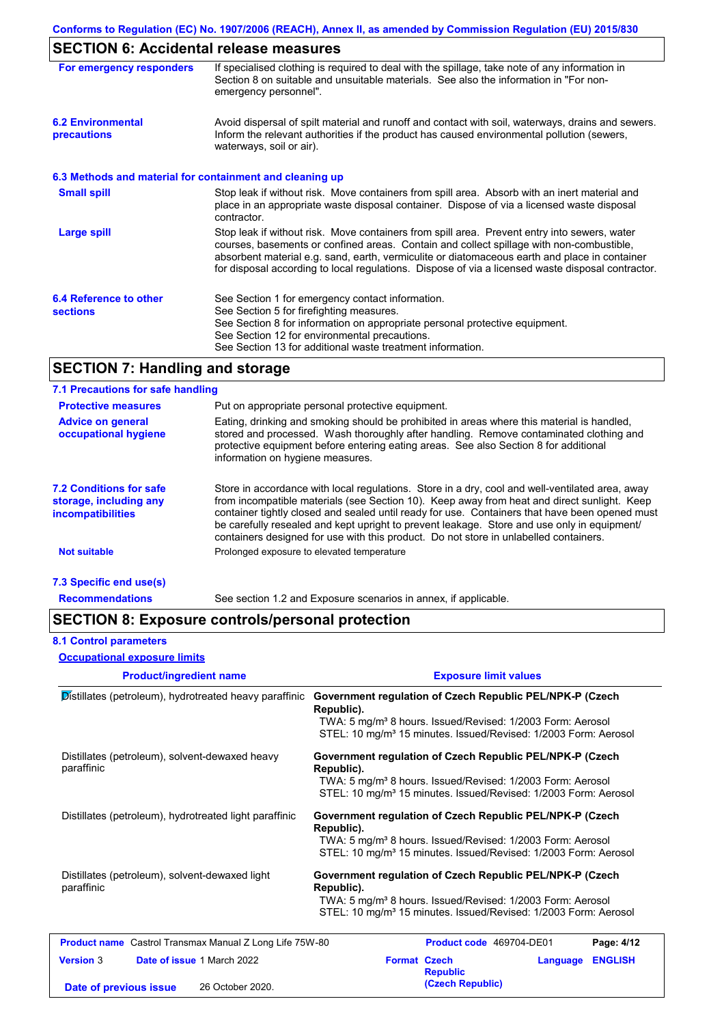## **SECTION 6: Accidental release measures**

| 26911011 01710010011101 1910000 1110000100               |                                                                                                                                                                                                                                                                                                                                                                                                |
|----------------------------------------------------------|------------------------------------------------------------------------------------------------------------------------------------------------------------------------------------------------------------------------------------------------------------------------------------------------------------------------------------------------------------------------------------------------|
| For emergency responders                                 | If specialised clothing is required to deal with the spillage, take note of any information in<br>Section 8 on suitable and unsuitable materials. See also the information in "For non-<br>emergency personnel".                                                                                                                                                                               |
| <b>6.2 Environmental</b><br>precautions                  | Avoid dispersal of spilt material and runoff and contact with soil, waterways, drains and sewers.<br>Inform the relevant authorities if the product has caused environmental pollution (sewers,<br>waterways, soil or air).                                                                                                                                                                    |
| 6.3 Methods and material for containment and cleaning up |                                                                                                                                                                                                                                                                                                                                                                                                |
| <b>Small spill</b>                                       | Stop leak if without risk. Move containers from spill area. Absorb with an inert material and<br>place in an appropriate waste disposal container. Dispose of via a licensed waste disposal<br>contractor.                                                                                                                                                                                     |
| <b>Large spill</b>                                       | Stop leak if without risk. Move containers from spill area. Prevent entry into sewers, water<br>courses, basements or confined areas. Contain and collect spillage with non-combustible,<br>absorbent material e.g. sand, earth, vermiculite or diatomaceous earth and place in container<br>for disposal according to local regulations. Dispose of via a licensed waste disposal contractor. |
| 6.4 Reference to other<br><b>sections</b>                | See Section 1 for emergency contact information.<br>See Section 5 for firefighting measures.<br>See Section 8 for information on appropriate personal protective equipment.<br>See Section 12 for environmental precautions.<br>See Section 13 for additional waste treatment information.                                                                                                     |

## **SECTION 7: Handling and storage**

## **7.1 Precautions for safe handling**

| <b>Protective measures</b>                                                           | Put on appropriate personal protective equipment.                                                                                                                                                                                                                                                                                                                                                                                                                                        |
|--------------------------------------------------------------------------------------|------------------------------------------------------------------------------------------------------------------------------------------------------------------------------------------------------------------------------------------------------------------------------------------------------------------------------------------------------------------------------------------------------------------------------------------------------------------------------------------|
| <b>Advice on general</b><br>occupational hygiene                                     | Eating, drinking and smoking should be prohibited in areas where this material is handled,<br>stored and processed. Wash thoroughly after handling. Remove contaminated clothing and<br>protective equipment before entering eating areas. See also Section 8 for additional<br>information on hygiene measures.                                                                                                                                                                         |
| <b>7.2 Conditions for safe</b><br>storage, including any<br><i>incompatibilities</i> | Store in accordance with local requlations. Store in a dry, cool and well-ventilated area, away<br>from incompatible materials (see Section 10). Keep away from heat and direct sunlight. Keep<br>container tightly closed and sealed until ready for use. Containers that have been opened must<br>be carefully resealed and kept upright to prevent leakage. Store and use only in equipment/<br>containers designed for use with this product. Do not store in unlabelled containers. |
| <b>Not suitable</b>                                                                  | Prolonged exposure to elevated temperature                                                                                                                                                                                                                                                                                                                                                                                                                                               |
| 7.3 Specific end use(s)                                                              |                                                                                                                                                                                                                                                                                                                                                                                                                                                                                          |
| <b>Recommendations</b>                                                               | See section 1.2 and Exposure scenarios in annex, if applicable.                                                                                                                                                                                                                                                                                                                                                                                                                          |

## **SECTION 8: Exposure controls/personal protection**

| <b>8.1 Control parameters</b><br><b>Occupational exposure limits</b>                         |                                                                                                                                                                                                                                 |
|----------------------------------------------------------------------------------------------|---------------------------------------------------------------------------------------------------------------------------------------------------------------------------------------------------------------------------------|
| <b>Product/ingredient name</b>                                                               | <b>Exposure limit values</b>                                                                                                                                                                                                    |
| Distillates (petroleum), hydrotreated heavy paraffinic                                       | Government regulation of Czech Republic PEL/NPK-P (Czech<br>Republic).<br>TWA: 5 mg/m <sup>3</sup> 8 hours. Issued/Revised: 1/2003 Form: Aerosol<br>STEL: 10 mg/m <sup>3</sup> 15 minutes. Issued/Revised: 1/2003 Form: Aerosol |
| Distillates (petroleum), solvent-dewaxed heavy<br>paraffinic                                 | Government regulation of Czech Republic PEL/NPK-P (Czech<br>Republic).<br>TWA: 5 mg/m <sup>3</sup> 8 hours. Issued/Revised: 1/2003 Form: Aerosol<br>STEL: 10 mg/m <sup>3</sup> 15 minutes. Issued/Revised: 1/2003 Form: Aerosol |
| Distillates (petroleum), hydrotreated light paraffinic                                       | Government regulation of Czech Republic PEL/NPK-P (Czech<br>Republic).<br>TWA: 5 mg/m <sup>3</sup> 8 hours. Issued/Revised: 1/2003 Form: Aerosol<br>STEL: 10 mg/m <sup>3</sup> 15 minutes. Issued/Revised: 1/2003 Form: Aerosol |
| Distillates (petroleum), solvent-dewaxed light<br>paraffinic                                 | Government regulation of Czech Republic PEL/NPK-P (Czech<br>Republic).<br>TWA: 5 mg/m <sup>3</sup> 8 hours. Issued/Revised: 1/2003 Form: Aerosol<br>STEL: 10 mg/m <sup>3</sup> 15 minutes. Issued/Revised: 1/2003 Form: Aerosol |
| <b>Product name</b> Castrol Transmax Manual Z Long Life 75W-80                               | Product code 469704-DE01<br>Page: 4/12                                                                                                                                                                                          |
| <b>Version 3</b><br>Date of issue 1 March 2022<br>26 October 2020.<br>Date of previous issue | <b>Format Czech</b><br><b>ENGLISH</b><br>Language<br><b>Republic</b><br>(Czech Republic)                                                                                                                                        |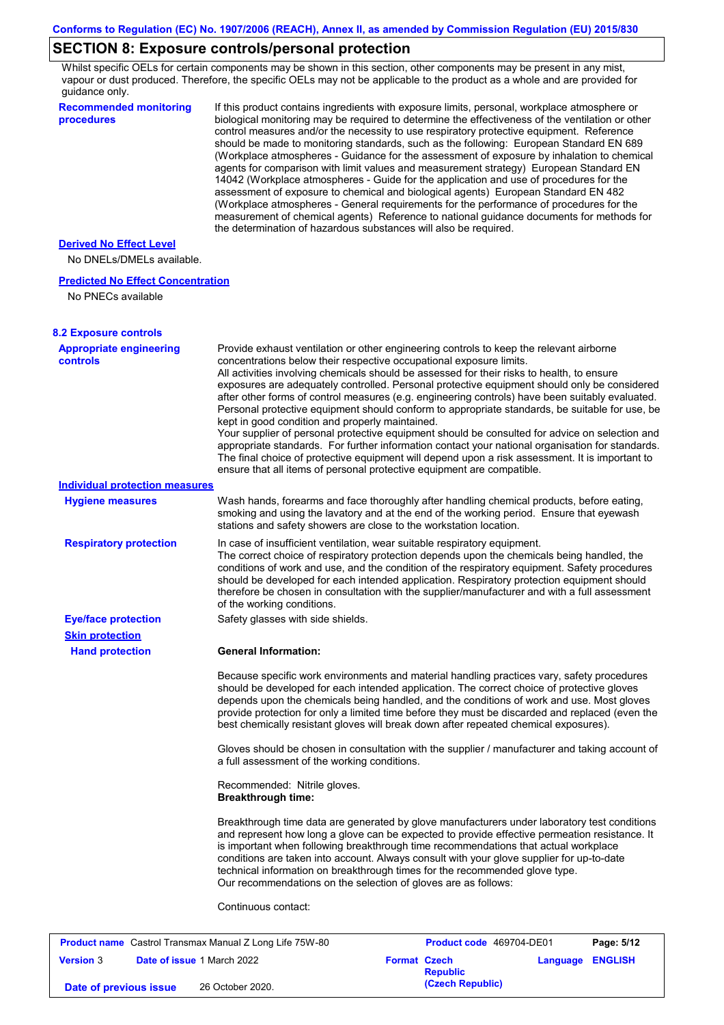## **SECTION 8: Exposure controls/personal protection**

Whilst specific OELs for certain components may be shown in this section, other components may be present in any mist, vapour or dust produced. Therefore, the specific OELs may not be applicable to the product as a whole and are provided for guidance only.

| <b>Derived No Effect Level</b><br>No DNELs/DMELs available.<br><b>Predicted No Effect Concentration</b><br>No PNECs available<br><b>8.2 Exposure controls</b><br><b>Appropriate engineering</b><br>Provide exhaust ventilation or other engineering controls to keep the relevant airborne<br>concentrations below their respective occupational exposure limits.<br><b>controls</b><br>All activities involving chemicals should be assessed for their risks to health, to ensure<br>exposures are adequately controlled. Personal protective equipment should only be considered<br>after other forms of control measures (e.g. engineering controls) have been suitably evaluated.<br>kept in good condition and properly maintained.<br>Your supplier of personal protective equipment should be consulted for advice on selection and<br>appropriate standards. For further information contact your national organisation for standards.<br>The final choice of protective equipment will depend upon a risk assessment. It is important to<br>ensure that all items of personal protective equipment are compatible.<br><b>Individual protection measures</b><br>Wash hands, forearms and face thoroughly after handling chemical products, before eating,<br><b>Hygiene measures</b><br>smoking and using the lavatory and at the end of the working period. Ensure that eyewash<br>stations and safety showers are close to the workstation location.<br><b>Respiratory protection</b><br>In case of insufficient ventilation, wear suitable respiratory equipment.<br>The correct choice of respiratory protection depends upon the chemicals being handled, the<br>conditions of work and use, and the condition of the respiratory equipment. Safety procedures<br>should be developed for each intended application. Respiratory protection equipment should<br>therefore be chosen in consultation with the supplier/manufacturer and with a full assessment<br>of the working conditions.<br>Safety glasses with side shields.<br><b>Eye/face protection</b><br><b>Skin protection</b><br><b>General Information:</b><br><b>Hand protection</b><br>Because specific work environments and material handling practices vary, safety procedures<br>should be developed for each intended application. The correct choice of protective gloves<br>depends upon the chemicals being handled, and the conditions of work and use. Most gloves<br>provide protection for only a limited time before they must be discarded and replaced (even the<br>best chemically resistant gloves will break down after repeated chemical exposures).<br>Gloves should be chosen in consultation with the supplier / manufacturer and taking account of<br>a full assessment of the working conditions.<br>Recommended: Nitrile gloves.<br><b>Breakthrough time:</b><br>Breakthrough time data are generated by glove manufacturers under laboratory test conditions<br>and represent how long a glove can be expected to provide effective permeation resistance. It<br>is important when following breakthrough time recommendations that actual workplace<br>conditions are taken into account. Always consult with your glove supplier for up-to-date<br>technical information on breakthrough times for the recommended glove type.<br>Our recommendations on the selection of gloves are as follows:<br>Continuous contact:<br><b>Product name</b> Castrol Transmax Manual Z Long Life 75W-80<br><b>Product code</b> 469704-DE01<br>Page: 5/12 | <b>Recommended monitoring</b><br>procedures | If this product contains ingredients with exposure limits, personal, workplace atmosphere or<br>biological monitoring may be required to determine the effectiveness of the ventilation or other<br>control measures and/or the necessity to use respiratory protective equipment. Reference<br>should be made to monitoring standards, such as the following: European Standard EN 689<br>(Workplace atmospheres - Guidance for the assessment of exposure by inhalation to chemical<br>agents for comparison with limit values and measurement strategy) European Standard EN<br>14042 (Workplace atmospheres - Guide for the application and use of procedures for the<br>assessment of exposure to chemical and biological agents) European Standard EN 482<br>(Workplace atmospheres - General requirements for the performance of procedures for the<br>measurement of chemical agents) Reference to national guidance documents for methods for<br>the determination of hazardous substances will also be required. |
|---------------------------------------------------------------------------------------------------------------------------------------------------------------------------------------------------------------------------------------------------------------------------------------------------------------------------------------------------------------------------------------------------------------------------------------------------------------------------------------------------------------------------------------------------------------------------------------------------------------------------------------------------------------------------------------------------------------------------------------------------------------------------------------------------------------------------------------------------------------------------------------------------------------------------------------------------------------------------------------------------------------------------------------------------------------------------------------------------------------------------------------------------------------------------------------------------------------------------------------------------------------------------------------------------------------------------------------------------------------------------------------------------------------------------------------------------------------------------------------------------------------------------------------------------------------------------------------------------------------------------------------------------------------------------------------------------------------------------------------------------------------------------------------------------------------------------------------------------------------------------------------------------------------------------------------------------------------------------------------------------------------------------------------------------------------------------------------------------------------------------------------------------------------------------------------------------------------------------------------------------------------------------------------------------------------------------------------------------------------------------------------------------------------------------------------------------------------------------------------------------------------------------------------------------------------------------------------------------------------------------------------------------------------------------------------------------------------------------------------------------------------------------------------------------------------------------------------------------------------------------------------------------------------------------------------------------------------------------------------------------------------------------------------------------------------------------------------------------------------------------------------------------------------------------------------------------------------------------------------------------------------------------------------------------------------------------------------------------------------------------------------------------------------------------------------------------------------------------------------------------------------------------------------------------|---------------------------------------------|----------------------------------------------------------------------------------------------------------------------------------------------------------------------------------------------------------------------------------------------------------------------------------------------------------------------------------------------------------------------------------------------------------------------------------------------------------------------------------------------------------------------------------------------------------------------------------------------------------------------------------------------------------------------------------------------------------------------------------------------------------------------------------------------------------------------------------------------------------------------------------------------------------------------------------------------------------------------------------------------------------------------------|
|                                                                                                                                                                                                                                                                                                                                                                                                                                                                                                                                                                                                                                                                                                                                                                                                                                                                                                                                                                                                                                                                                                                                                                                                                                                                                                                                                                                                                                                                                                                                                                                                                                                                                                                                                                                                                                                                                                                                                                                                                                                                                                                                                                                                                                                                                                                                                                                                                                                                                                                                                                                                                                                                                                                                                                                                                                                                                                                                                                                                                                                                                                                                                                                                                                                                                                                                                                                                                                                                                                                                                   |                                             |                                                                                                                                                                                                                                                                                                                                                                                                                                                                                                                                                                                                                                                                                                                                                                                                                                                                                                                                                                                                                            |
|                                                                                                                                                                                                                                                                                                                                                                                                                                                                                                                                                                                                                                                                                                                                                                                                                                                                                                                                                                                                                                                                                                                                                                                                                                                                                                                                                                                                                                                                                                                                                                                                                                                                                                                                                                                                                                                                                                                                                                                                                                                                                                                                                                                                                                                                                                                                                                                                                                                                                                                                                                                                                                                                                                                                                                                                                                                                                                                                                                                                                                                                                                                                                                                                                                                                                                                                                                                                                                                                                                                                                   |                                             |                                                                                                                                                                                                                                                                                                                                                                                                                                                                                                                                                                                                                                                                                                                                                                                                                                                                                                                                                                                                                            |
|                                                                                                                                                                                                                                                                                                                                                                                                                                                                                                                                                                                                                                                                                                                                                                                                                                                                                                                                                                                                                                                                                                                                                                                                                                                                                                                                                                                                                                                                                                                                                                                                                                                                                                                                                                                                                                                                                                                                                                                                                                                                                                                                                                                                                                                                                                                                                                                                                                                                                                                                                                                                                                                                                                                                                                                                                                                                                                                                                                                                                                                                                                                                                                                                                                                                                                                                                                                                                                                                                                                                                   |                                             |                                                                                                                                                                                                                                                                                                                                                                                                                                                                                                                                                                                                                                                                                                                                                                                                                                                                                                                                                                                                                            |
|                                                                                                                                                                                                                                                                                                                                                                                                                                                                                                                                                                                                                                                                                                                                                                                                                                                                                                                                                                                                                                                                                                                                                                                                                                                                                                                                                                                                                                                                                                                                                                                                                                                                                                                                                                                                                                                                                                                                                                                                                                                                                                                                                                                                                                                                                                                                                                                                                                                                                                                                                                                                                                                                                                                                                                                                                                                                                                                                                                                                                                                                                                                                                                                                                                                                                                                                                                                                                                                                                                                                                   |                                             |                                                                                                                                                                                                                                                                                                                                                                                                                                                                                                                                                                                                                                                                                                                                                                                                                                                                                                                                                                                                                            |
|                                                                                                                                                                                                                                                                                                                                                                                                                                                                                                                                                                                                                                                                                                                                                                                                                                                                                                                                                                                                                                                                                                                                                                                                                                                                                                                                                                                                                                                                                                                                                                                                                                                                                                                                                                                                                                                                                                                                                                                                                                                                                                                                                                                                                                                                                                                                                                                                                                                                                                                                                                                                                                                                                                                                                                                                                                                                                                                                                                                                                                                                                                                                                                                                                                                                                                                                                                                                                                                                                                                                                   |                                             | Personal protective equipment should conform to appropriate standards, be suitable for use, be                                                                                                                                                                                                                                                                                                                                                                                                                                                                                                                                                                                                                                                                                                                                                                                                                                                                                                                             |
|                                                                                                                                                                                                                                                                                                                                                                                                                                                                                                                                                                                                                                                                                                                                                                                                                                                                                                                                                                                                                                                                                                                                                                                                                                                                                                                                                                                                                                                                                                                                                                                                                                                                                                                                                                                                                                                                                                                                                                                                                                                                                                                                                                                                                                                                                                                                                                                                                                                                                                                                                                                                                                                                                                                                                                                                                                                                                                                                                                                                                                                                                                                                                                                                                                                                                                                                                                                                                                                                                                                                                   |                                             |                                                                                                                                                                                                                                                                                                                                                                                                                                                                                                                                                                                                                                                                                                                                                                                                                                                                                                                                                                                                                            |
|                                                                                                                                                                                                                                                                                                                                                                                                                                                                                                                                                                                                                                                                                                                                                                                                                                                                                                                                                                                                                                                                                                                                                                                                                                                                                                                                                                                                                                                                                                                                                                                                                                                                                                                                                                                                                                                                                                                                                                                                                                                                                                                                                                                                                                                                                                                                                                                                                                                                                                                                                                                                                                                                                                                                                                                                                                                                                                                                                                                                                                                                                                                                                                                                                                                                                                                                                                                                                                                                                                                                                   |                                             |                                                                                                                                                                                                                                                                                                                                                                                                                                                                                                                                                                                                                                                                                                                                                                                                                                                                                                                                                                                                                            |
|                                                                                                                                                                                                                                                                                                                                                                                                                                                                                                                                                                                                                                                                                                                                                                                                                                                                                                                                                                                                                                                                                                                                                                                                                                                                                                                                                                                                                                                                                                                                                                                                                                                                                                                                                                                                                                                                                                                                                                                                                                                                                                                                                                                                                                                                                                                                                                                                                                                                                                                                                                                                                                                                                                                                                                                                                                                                                                                                                                                                                                                                                                                                                                                                                                                                                                                                                                                                                                                                                                                                                   |                                             |                                                                                                                                                                                                                                                                                                                                                                                                                                                                                                                                                                                                                                                                                                                                                                                                                                                                                                                                                                                                                            |
|                                                                                                                                                                                                                                                                                                                                                                                                                                                                                                                                                                                                                                                                                                                                                                                                                                                                                                                                                                                                                                                                                                                                                                                                                                                                                                                                                                                                                                                                                                                                                                                                                                                                                                                                                                                                                                                                                                                                                                                                                                                                                                                                                                                                                                                                                                                                                                                                                                                                                                                                                                                                                                                                                                                                                                                                                                                                                                                                                                                                                                                                                                                                                                                                                                                                                                                                                                                                                                                                                                                                                   |                                             |                                                                                                                                                                                                                                                                                                                                                                                                                                                                                                                                                                                                                                                                                                                                                                                                                                                                                                                                                                                                                            |
|                                                                                                                                                                                                                                                                                                                                                                                                                                                                                                                                                                                                                                                                                                                                                                                                                                                                                                                                                                                                                                                                                                                                                                                                                                                                                                                                                                                                                                                                                                                                                                                                                                                                                                                                                                                                                                                                                                                                                                                                                                                                                                                                                                                                                                                                                                                                                                                                                                                                                                                                                                                                                                                                                                                                                                                                                                                                                                                                                                                                                                                                                                                                                                                                                                                                                                                                                                                                                                                                                                                                                   |                                             |                                                                                                                                                                                                                                                                                                                                                                                                                                                                                                                                                                                                                                                                                                                                                                                                                                                                                                                                                                                                                            |
|                                                                                                                                                                                                                                                                                                                                                                                                                                                                                                                                                                                                                                                                                                                                                                                                                                                                                                                                                                                                                                                                                                                                                                                                                                                                                                                                                                                                                                                                                                                                                                                                                                                                                                                                                                                                                                                                                                                                                                                                                                                                                                                                                                                                                                                                                                                                                                                                                                                                                                                                                                                                                                                                                                                                                                                                                                                                                                                                                                                                                                                                                                                                                                                                                                                                                                                                                                                                                                                                                                                                                   |                                             |                                                                                                                                                                                                                                                                                                                                                                                                                                                                                                                                                                                                                                                                                                                                                                                                                                                                                                                                                                                                                            |
|                                                                                                                                                                                                                                                                                                                                                                                                                                                                                                                                                                                                                                                                                                                                                                                                                                                                                                                                                                                                                                                                                                                                                                                                                                                                                                                                                                                                                                                                                                                                                                                                                                                                                                                                                                                                                                                                                                                                                                                                                                                                                                                                                                                                                                                                                                                                                                                                                                                                                                                                                                                                                                                                                                                                                                                                                                                                                                                                                                                                                                                                                                                                                                                                                                                                                                                                                                                                                                                                                                                                                   |                                             |                                                                                                                                                                                                                                                                                                                                                                                                                                                                                                                                                                                                                                                                                                                                                                                                                                                                                                                                                                                                                            |
|                                                                                                                                                                                                                                                                                                                                                                                                                                                                                                                                                                                                                                                                                                                                                                                                                                                                                                                                                                                                                                                                                                                                                                                                                                                                                                                                                                                                                                                                                                                                                                                                                                                                                                                                                                                                                                                                                                                                                                                                                                                                                                                                                                                                                                                                                                                                                                                                                                                                                                                                                                                                                                                                                                                                                                                                                                                                                                                                                                                                                                                                                                                                                                                                                                                                                                                                                                                                                                                                                                                                                   |                                             |                                                                                                                                                                                                                                                                                                                                                                                                                                                                                                                                                                                                                                                                                                                                                                                                                                                                                                                                                                                                                            |
|                                                                                                                                                                                                                                                                                                                                                                                                                                                                                                                                                                                                                                                                                                                                                                                                                                                                                                                                                                                                                                                                                                                                                                                                                                                                                                                                                                                                                                                                                                                                                                                                                                                                                                                                                                                                                                                                                                                                                                                                                                                                                                                                                                                                                                                                                                                                                                                                                                                                                                                                                                                                                                                                                                                                                                                                                                                                                                                                                                                                                                                                                                                                                                                                                                                                                                                                                                                                                                                                                                                                                   |                                             |                                                                                                                                                                                                                                                                                                                                                                                                                                                                                                                                                                                                                                                                                                                                                                                                                                                                                                                                                                                                                            |
|                                                                                                                                                                                                                                                                                                                                                                                                                                                                                                                                                                                                                                                                                                                                                                                                                                                                                                                                                                                                                                                                                                                                                                                                                                                                                                                                                                                                                                                                                                                                                                                                                                                                                                                                                                                                                                                                                                                                                                                                                                                                                                                                                                                                                                                                                                                                                                                                                                                                                                                                                                                                                                                                                                                                                                                                                                                                                                                                                                                                                                                                                                                                                                                                                                                                                                                                                                                                                                                                                                                                                   |                                             |                                                                                                                                                                                                                                                                                                                                                                                                                                                                                                                                                                                                                                                                                                                                                                                                                                                                                                                                                                                                                            |
|                                                                                                                                                                                                                                                                                                                                                                                                                                                                                                                                                                                                                                                                                                                                                                                                                                                                                                                                                                                                                                                                                                                                                                                                                                                                                                                                                                                                                                                                                                                                                                                                                                                                                                                                                                                                                                                                                                                                                                                                                                                                                                                                                                                                                                                                                                                                                                                                                                                                                                                                                                                                                                                                                                                                                                                                                                                                                                                                                                                                                                                                                                                                                                                                                                                                                                                                                                                                                                                                                                                                                   |                                             |                                                                                                                                                                                                                                                                                                                                                                                                                                                                                                                                                                                                                                                                                                                                                                                                                                                                                                                                                                                                                            |

|                        | <b>FIGURE INCIDENT CASHOL HANSHIAA MAHUAL LUNG LITE TUTT-00</b> |                     | <b>FIGURE COUP TOSIDT-DEVI</b> |                  | <b>Faut.</b> JIL |
|------------------------|-----------------------------------------------------------------|---------------------|--------------------------------|------------------|------------------|
| <b>Version 3</b>       | <b>Date of issue 1 March 2022</b>                               | <b>Format Czech</b> | <b>Republic</b>                | Language ENGLISH |                  |
| Date of previous issue | 26 October 2020.                                                |                     | (Czech Republic)               |                  |                  |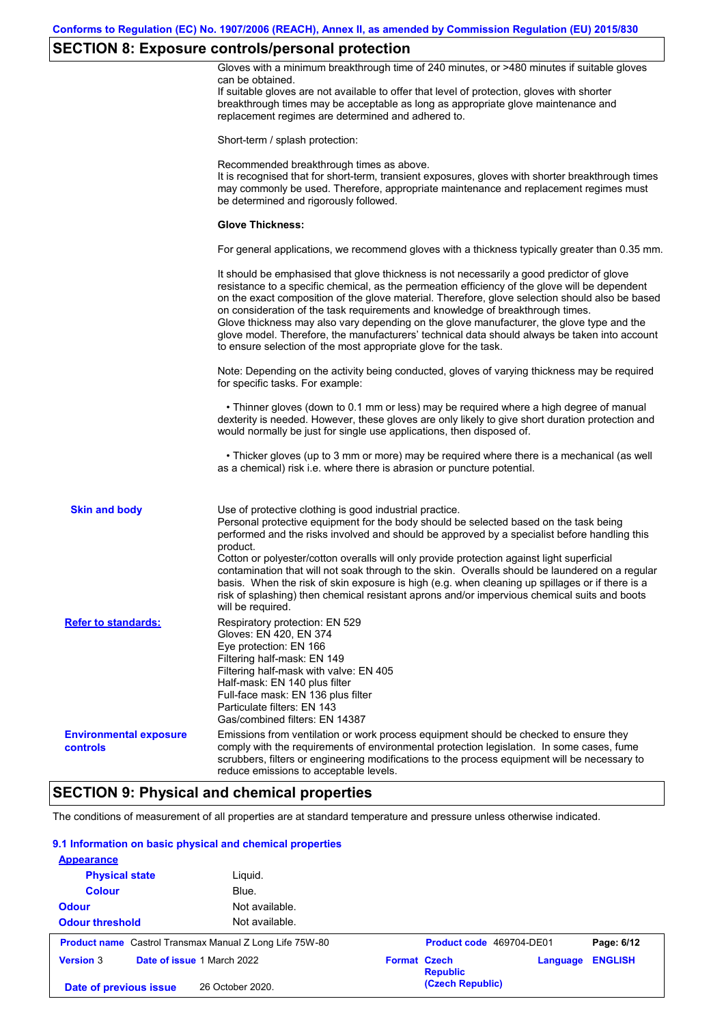# **SECTION 8: Exposure controls/personal protection**

| Gloves with a minimum breakthrough time of 240 minutes, or >480 minutes if suitable gloves<br>can be obtained.<br>If suitable gloves are not available to offer that level of protection, gloves with shorter<br>breakthrough times may be acceptable as long as appropriate glove maintenance and<br>replacement regimes are determined and adhered to.<br>Short-term / splash protection:<br>Recommended breakthrough times as above.<br>It is recognised that for short-term, transient exposures, gloves with shorter breakthrough times<br>may commonly be used. Therefore, appropriate maintenance and replacement regimes must<br>be determined and rigorously followed.<br><b>Glove Thickness:</b><br>It should be emphasised that glove thickness is not necessarily a good predictor of glove<br>resistance to a specific chemical, as the permeation efficiency of the glove will be dependent<br>on the exact composition of the glove material. Therefore, glove selection should also be based<br>on consideration of the task requirements and knowledge of breakthrough times.<br>Glove thickness may also vary depending on the glove manufacturer, the glove type and the<br>glove model. Therefore, the manufacturers' technical data should always be taken into account<br>to ensure selection of the most appropriate glove for the task.<br>Note: Depending on the activity being conducted, gloves of varying thickness may be required<br>for specific tasks. For example:<br>• Thinner gloves (down to 0.1 mm or less) may be required where a high degree of manual<br>dexterity is needed. However, these gloves are only likely to give short duration protection and<br>would normally be just for single use applications, then disposed of.<br>• Thicker gloves (up to 3 mm or more) may be required where there is a mechanical (as well<br>as a chemical) risk i.e. where there is abrasion or puncture potential.<br><b>Skin and body</b><br>Use of protective clothing is good industrial practice.<br>Personal protective equipment for the body should be selected based on the task being<br>performed and the risks involved and should be approved by a specialist before handling this<br>product.<br>Cotton or polyester/cotton overalls will only provide protection against light superficial<br>contamination that will not soak through to the skin. Overalls should be laundered on a regular<br>basis. When the risk of skin exposure is high (e.g. when cleaning up spillages or if there is a<br>risk of splashing) then chemical resistant aprons and/or impervious chemical suits and boots<br>will be required.<br><b>Refer to standards:</b><br>Respiratory protection: EN 529<br>Gloves: EN 420, EN 374<br>Eye protection: EN 166<br>Filtering half-mask: EN 149<br>Filtering half-mask with valve: EN 405<br>Half-mask: EN 140 plus filter<br>Full-face mask: EN 136 plus filter<br>Particulate filters: EN 143<br>Gas/combined filters: EN 14387<br>Emissions from ventilation or work process equipment should be checked to ensure they<br><b>Environmental exposure</b><br>comply with the requirements of environmental protection legislation. In some cases, fume<br>controls<br>scrubbers, filters or engineering modifications to the process equipment will be necessary to<br>reduce emissions to acceptable levels. | <b>SECTION 9: Physical and chemical properties</b><br>The conditions of measurement of all properties are at standard temperature and pressure unless otherwise indicated. |                                                                                                |
|------------------------------------------------------------------------------------------------------------------------------------------------------------------------------------------------------------------------------------------------------------------------------------------------------------------------------------------------------------------------------------------------------------------------------------------------------------------------------------------------------------------------------------------------------------------------------------------------------------------------------------------------------------------------------------------------------------------------------------------------------------------------------------------------------------------------------------------------------------------------------------------------------------------------------------------------------------------------------------------------------------------------------------------------------------------------------------------------------------------------------------------------------------------------------------------------------------------------------------------------------------------------------------------------------------------------------------------------------------------------------------------------------------------------------------------------------------------------------------------------------------------------------------------------------------------------------------------------------------------------------------------------------------------------------------------------------------------------------------------------------------------------------------------------------------------------------------------------------------------------------------------------------------------------------------------------------------------------------------------------------------------------------------------------------------------------------------------------------------------------------------------------------------------------------------------------------------------------------------------------------------------------------------------------------------------------------------------------------------------------------------------------------------------------------------------------------------------------------------------------------------------------------------------------------------------------------------------------------------------------------------------------------------------------------------------------------------------------------------------------------------------------------------------------------------------------------------------------------------------------------------------------------------------------------------------------------------------------------------------------------------------------------------------------------------------------------------------------------------------------------------------------------------------------------------------------------------------------------------------------------------------------------------------------------------------------------------------------------------------------------------------|----------------------------------------------------------------------------------------------------------------------------------------------------------------------------|------------------------------------------------------------------------------------------------|
|                                                                                                                                                                                                                                                                                                                                                                                                                                                                                                                                                                                                                                                                                                                                                                                                                                                                                                                                                                                                                                                                                                                                                                                                                                                                                                                                                                                                                                                                                                                                                                                                                                                                                                                                                                                                                                                                                                                                                                                                                                                                                                                                                                                                                                                                                                                                                                                                                                                                                                                                                                                                                                                                                                                                                                                                                                                                                                                                                                                                                                                                                                                                                                                                                                                                                                                                                                                          |                                                                                                                                                                            |                                                                                                |
|                                                                                                                                                                                                                                                                                                                                                                                                                                                                                                                                                                                                                                                                                                                                                                                                                                                                                                                                                                                                                                                                                                                                                                                                                                                                                                                                                                                                                                                                                                                                                                                                                                                                                                                                                                                                                                                                                                                                                                                                                                                                                                                                                                                                                                                                                                                                                                                                                                                                                                                                                                                                                                                                                                                                                                                                                                                                                                                                                                                                                                                                                                                                                                                                                                                                                                                                                                                          |                                                                                                                                                                            |                                                                                                |
|                                                                                                                                                                                                                                                                                                                                                                                                                                                                                                                                                                                                                                                                                                                                                                                                                                                                                                                                                                                                                                                                                                                                                                                                                                                                                                                                                                                                                                                                                                                                                                                                                                                                                                                                                                                                                                                                                                                                                                                                                                                                                                                                                                                                                                                                                                                                                                                                                                                                                                                                                                                                                                                                                                                                                                                                                                                                                                                                                                                                                                                                                                                                                                                                                                                                                                                                                                                          |                                                                                                                                                                            |                                                                                                |
|                                                                                                                                                                                                                                                                                                                                                                                                                                                                                                                                                                                                                                                                                                                                                                                                                                                                                                                                                                                                                                                                                                                                                                                                                                                                                                                                                                                                                                                                                                                                                                                                                                                                                                                                                                                                                                                                                                                                                                                                                                                                                                                                                                                                                                                                                                                                                                                                                                                                                                                                                                                                                                                                                                                                                                                                                                                                                                                                                                                                                                                                                                                                                                                                                                                                                                                                                                                          |                                                                                                                                                                            |                                                                                                |
|                                                                                                                                                                                                                                                                                                                                                                                                                                                                                                                                                                                                                                                                                                                                                                                                                                                                                                                                                                                                                                                                                                                                                                                                                                                                                                                                                                                                                                                                                                                                                                                                                                                                                                                                                                                                                                                                                                                                                                                                                                                                                                                                                                                                                                                                                                                                                                                                                                                                                                                                                                                                                                                                                                                                                                                                                                                                                                                                                                                                                                                                                                                                                                                                                                                                                                                                                                                          |                                                                                                                                                                            | For general applications, we recommend gloves with a thickness typically greater than 0.35 mm. |
|                                                                                                                                                                                                                                                                                                                                                                                                                                                                                                                                                                                                                                                                                                                                                                                                                                                                                                                                                                                                                                                                                                                                                                                                                                                                                                                                                                                                                                                                                                                                                                                                                                                                                                                                                                                                                                                                                                                                                                                                                                                                                                                                                                                                                                                                                                                                                                                                                                                                                                                                                                                                                                                                                                                                                                                                                                                                                                                                                                                                                                                                                                                                                                                                                                                                                                                                                                                          |                                                                                                                                                                            |                                                                                                |
|                                                                                                                                                                                                                                                                                                                                                                                                                                                                                                                                                                                                                                                                                                                                                                                                                                                                                                                                                                                                                                                                                                                                                                                                                                                                                                                                                                                                                                                                                                                                                                                                                                                                                                                                                                                                                                                                                                                                                                                                                                                                                                                                                                                                                                                                                                                                                                                                                                                                                                                                                                                                                                                                                                                                                                                                                                                                                                                                                                                                                                                                                                                                                                                                                                                                                                                                                                                          |                                                                                                                                                                            |                                                                                                |
|                                                                                                                                                                                                                                                                                                                                                                                                                                                                                                                                                                                                                                                                                                                                                                                                                                                                                                                                                                                                                                                                                                                                                                                                                                                                                                                                                                                                                                                                                                                                                                                                                                                                                                                                                                                                                                                                                                                                                                                                                                                                                                                                                                                                                                                                                                                                                                                                                                                                                                                                                                                                                                                                                                                                                                                                                                                                                                                                                                                                                                                                                                                                                                                                                                                                                                                                                                                          |                                                                                                                                                                            |                                                                                                |
|                                                                                                                                                                                                                                                                                                                                                                                                                                                                                                                                                                                                                                                                                                                                                                                                                                                                                                                                                                                                                                                                                                                                                                                                                                                                                                                                                                                                                                                                                                                                                                                                                                                                                                                                                                                                                                                                                                                                                                                                                                                                                                                                                                                                                                                                                                                                                                                                                                                                                                                                                                                                                                                                                                                                                                                                                                                                                                                                                                                                                                                                                                                                                                                                                                                                                                                                                                                          |                                                                                                                                                                            |                                                                                                |
|                                                                                                                                                                                                                                                                                                                                                                                                                                                                                                                                                                                                                                                                                                                                                                                                                                                                                                                                                                                                                                                                                                                                                                                                                                                                                                                                                                                                                                                                                                                                                                                                                                                                                                                                                                                                                                                                                                                                                                                                                                                                                                                                                                                                                                                                                                                                                                                                                                                                                                                                                                                                                                                                                                                                                                                                                                                                                                                                                                                                                                                                                                                                                                                                                                                                                                                                                                                          |                                                                                                                                                                            |                                                                                                |
|                                                                                                                                                                                                                                                                                                                                                                                                                                                                                                                                                                                                                                                                                                                                                                                                                                                                                                                                                                                                                                                                                                                                                                                                                                                                                                                                                                                                                                                                                                                                                                                                                                                                                                                                                                                                                                                                                                                                                                                                                                                                                                                                                                                                                                                                                                                                                                                                                                                                                                                                                                                                                                                                                                                                                                                                                                                                                                                                                                                                                                                                                                                                                                                                                                                                                                                                                                                          |                                                                                                                                                                            |                                                                                                |
|                                                                                                                                                                                                                                                                                                                                                                                                                                                                                                                                                                                                                                                                                                                                                                                                                                                                                                                                                                                                                                                                                                                                                                                                                                                                                                                                                                                                                                                                                                                                                                                                                                                                                                                                                                                                                                                                                                                                                                                                                                                                                                                                                                                                                                                                                                                                                                                                                                                                                                                                                                                                                                                                                                                                                                                                                                                                                                                                                                                                                                                                                                                                                                                                                                                                                                                                                                                          |                                                                                                                                                                            |                                                                                                |
|                                                                                                                                                                                                                                                                                                                                                                                                                                                                                                                                                                                                                                                                                                                                                                                                                                                                                                                                                                                                                                                                                                                                                                                                                                                                                                                                                                                                                                                                                                                                                                                                                                                                                                                                                                                                                                                                                                                                                                                                                                                                                                                                                                                                                                                                                                                                                                                                                                                                                                                                                                                                                                                                                                                                                                                                                                                                                                                                                                                                                                                                                                                                                                                                                                                                                                                                                                                          |                                                                                                                                                                            |                                                                                                |

#### **9.1 Information on basic physical and chemical properties**

| <b>Appearance</b>                                              |                  |                     |                          |          |                |
|----------------------------------------------------------------|------------------|---------------------|--------------------------|----------|----------------|
| <b>Physical state</b>                                          | Liguid.          |                     |                          |          |                |
| <b>Colour</b>                                                  | Blue.            |                     |                          |          |                |
| <b>Odour</b>                                                   | Not available.   |                     |                          |          |                |
| <b>Odour threshold</b>                                         | Not available.   |                     |                          |          |                |
| <b>Product name</b> Castrol Transmax Manual Z Long Life 75W-80 |                  |                     | Product code 469704-DE01 |          | Page: 6/12     |
| Date of issue 1 March 2022<br><b>Version 3</b>                 |                  | <b>Format Czech</b> | <b>Republic</b>          | Language | <b>ENGLISH</b> |
| Date of previous issue                                         | 26 October 2020. |                     | (Czech Republic)         |          |                |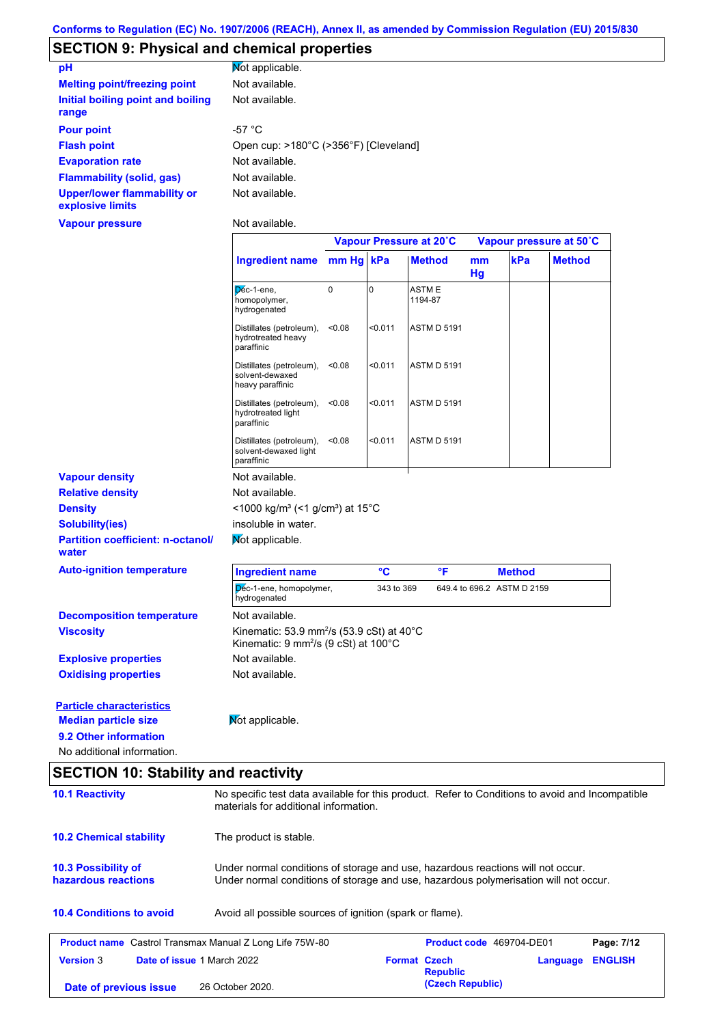## **SECTION 9: Physical and chemical properties**

| pH                                                     | <b>Not applicable.</b>                |
|--------------------------------------------------------|---------------------------------------|
| <b>Melting point/freezing point</b>                    | Not available.                        |
| Initial boiling point and boiling<br>range             | Not available.                        |
| <b>Pour point</b>                                      | -57 °C                                |
| <b>Flash point</b>                                     | Open cup: >180°C (>356°F) [Cleveland] |
| <b>Evaporation rate</b>                                | Not available.                        |
| <b>Flammability (solid, gas)</b>                       | Not available.                        |
| <b>Upper/lower flammability or</b><br>explosive limits | Not available.                        |
|                                                        |                                       |

**Vapour pressure**

**Date of previous issue** 26 October 2020.

Not available.

|                                                                                         |                                                                                                                                                                         |           |            | Vapour Pressure at 20°C  |                            |               | Vapour pressure at 50°C |            |
|-----------------------------------------------------------------------------------------|-------------------------------------------------------------------------------------------------------------------------------------------------------------------------|-----------|------------|--------------------------|----------------------------|---------------|-------------------------|------------|
|                                                                                         | <b>Ingredient name</b>                                                                                                                                                  | mm Hg kPa |            | <b>Method</b>            | mm<br>Hg                   | kPa           | <b>Method</b>           |            |
|                                                                                         | Dec-1-ene,<br>homopolymer,<br>hydrogenated                                                                                                                              | 0         | 0          | ASTM E<br>1194-87        |                            |               |                         |            |
|                                                                                         | Distillates (petroleum),<br>hydrotreated heavy<br>paraffinic                                                                                                            | < 0.08    | < 0.011    | <b>ASTM D 5191</b>       |                            |               |                         |            |
|                                                                                         | Distillates (petroleum),<br>solvent-dewaxed<br>heavy paraffinic                                                                                                         | 0.08      | < 0.011    | <b>ASTM D 5191</b>       |                            |               |                         |            |
|                                                                                         | Distillates (petroleum),<br>hydrotreated light<br>paraffinic                                                                                                            | < 0.08    | < 0.011    | <b>ASTM D 5191</b>       |                            |               |                         |            |
|                                                                                         | Distillates (petroleum),<br>solvent-dewaxed light<br>paraffinic                                                                                                         | < 0.08    | < 0.011    | <b>ASTM D 5191</b>       |                            |               |                         |            |
| <b>Vapour density</b>                                                                   | Not available.                                                                                                                                                          |           |            |                          |                            |               |                         |            |
| <b>Relative density</b>                                                                 | Not available.                                                                                                                                                          |           |            |                          |                            |               |                         |            |
| <b>Density</b>                                                                          | <1000 kg/m <sup>3</sup> (<1 g/cm <sup>3</sup> ) at 15°C                                                                                                                 |           |            |                          |                            |               |                         |            |
| <b>Solubility(ies)</b>                                                                  | insoluble in water.                                                                                                                                                     |           |            |                          |                            |               |                         |            |
| <b>Partition coefficient: n-octanol/</b><br>water                                       | Mot applicable.                                                                                                                                                         |           |            |                          |                            |               |                         |            |
| <b>Auto-ignition temperature</b>                                                        | <b>Ingredient name</b>                                                                                                                                                  |           | °C         | °F                       |                            | <b>Method</b> |                         |            |
|                                                                                         | Dec-1-ene, homopolymer,<br>hydrogenated                                                                                                                                 |           | 343 to 369 |                          | 649.4 to 696.2 ASTM D 2159 |               |                         |            |
| <b>Decomposition temperature</b>                                                        | Not available.                                                                                                                                                          |           |            |                          |                            |               |                         |            |
| <b>Viscosity</b>                                                                        | Kinematic: 53.9 mm <sup>2</sup> /s (53.9 cSt) at 40 $^{\circ}$ C<br>Kinematic: 9 mm <sup>2</sup> /s (9 cSt) at 100°C                                                    |           |            |                          |                            |               |                         |            |
| <b>Explosive properties</b>                                                             | Not available.                                                                                                                                                          |           |            |                          |                            |               |                         |            |
| <b>Oxidising properties</b>                                                             | Not available.                                                                                                                                                          |           |            |                          |                            |               |                         |            |
| <b>Particle characteristics</b><br><b>Median particle size</b><br>9.2 Other information | Mot applicable.                                                                                                                                                         |           |            |                          |                            |               |                         |            |
| No additional information.                                                              |                                                                                                                                                                         |           |            |                          |                            |               |                         |            |
| <b>SECTION 10: Stability and reactivity</b>                                             |                                                                                                                                                                         |           |            |                          |                            |               |                         |            |
| <b>10.1 Reactivity</b>                                                                  | No specific test data available for this product. Refer to Conditions to avoid and Incompatible<br>materials for additional information.                                |           |            |                          |                            |               |                         |            |
| <b>10.2 Chemical stability</b>                                                          | The product is stable.                                                                                                                                                  |           |            |                          |                            |               |                         |            |
| 10.3 Possibility of<br>hazardous reactions                                              | Under normal conditions of storage and use, hazardous reactions will not occur.<br>Under normal conditions of storage and use, hazardous polymerisation will not occur. |           |            |                          |                            |               |                         |            |
| <b>10.4 Conditions to avoid</b>                                                         | Avoid all possible sources of ignition (spark or flame).                                                                                                                |           |            |                          |                            |               |                         |            |
| <b>Product name</b> Castrol Transmax Manual Z Long Life 75W-80                          |                                                                                                                                                                         |           |            | Product code 469704-DE01 |                            |               |                         | Page: 7/12 |
| <b>Version 3</b><br>Date of issue 1 March 2022                                          |                                                                                                                                                                         |           |            | <b>Format Czech</b>      |                            |               | Language ENGLISH        |            |

**Republic**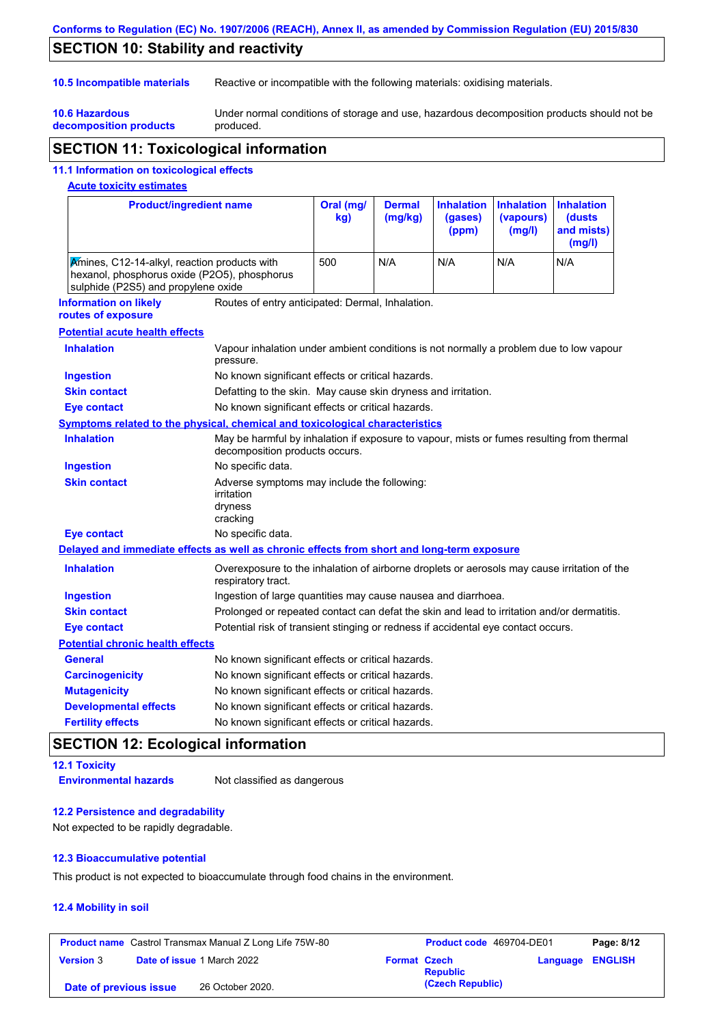#### **Conforms to Regulation (EC) No. 1907/2006 (REACH), Annex II, as amended by Commission Regulation (EU) 2015/830**

## **SECTION 10: Stability and reactivity**

**10.6 Hazardous** 

**10.5 Incompatible materials** Reactive or incompatible with the following materials: oxidising materials.

**decomposition products** Under normal conditions of storage and use, hazardous decomposition products should not be produced.

## **SECTION 11: Toxicological information**

#### **11.1 Information on toxicological effects**

#### **Acute toxicity estimates**

| <b>Product/ingredient name</b>                                                                                                      |                                                                                                                             | Oral (mg/<br>kg)                                                                           | <b>Dermal</b><br>(mg/kg) | <b>Inhalation</b><br>(gases)<br>(ppm) | <b>Inhalation</b><br>(vapours)<br>(mg/l) | <b>Inhalation</b><br><b>(dusts</b><br>and mists)<br>(mg/l) |
|-------------------------------------------------------------------------------------------------------------------------------------|-----------------------------------------------------------------------------------------------------------------------------|--------------------------------------------------------------------------------------------|--------------------------|---------------------------------------|------------------------------------------|------------------------------------------------------------|
| Amines, C12-14-alkyl, reaction products with<br>hexanol, phosphorus oxide (P2O5), phosphorus<br>sulphide (P2S5) and propylene oxide |                                                                                                                             | 500                                                                                        | N/A                      | N/A                                   | N/A                                      | N/A                                                        |
| <b>Information on likely</b><br>routes of exposure                                                                                  | Routes of entry anticipated: Dermal, Inhalation.                                                                            |                                                                                            |                          |                                       |                                          |                                                            |
| <b>Potential acute health effects</b>                                                                                               |                                                                                                                             |                                                                                            |                          |                                       |                                          |                                                            |
| <b>Inhalation</b>                                                                                                                   | Vapour inhalation under ambient conditions is not normally a problem due to low vapour<br>pressure.                         |                                                                                            |                          |                                       |                                          |                                                            |
| <b>Ingestion</b>                                                                                                                    | No known significant effects or critical hazards.                                                                           |                                                                                            |                          |                                       |                                          |                                                            |
| <b>Skin contact</b>                                                                                                                 | Defatting to the skin. May cause skin dryness and irritation.                                                               |                                                                                            |                          |                                       |                                          |                                                            |
| <b>Eye contact</b>                                                                                                                  | No known significant effects or critical hazards.                                                                           |                                                                                            |                          |                                       |                                          |                                                            |
| <b>Symptoms related to the physical, chemical and toxicological characteristics</b>                                                 |                                                                                                                             |                                                                                            |                          |                                       |                                          |                                                            |
| <b>Inhalation</b>                                                                                                                   | May be harmful by inhalation if exposure to vapour, mists or fumes resulting from thermal<br>decomposition products occurs. |                                                                                            |                          |                                       |                                          |                                                            |
| <b>Ingestion</b>                                                                                                                    | No specific data.                                                                                                           |                                                                                            |                          |                                       |                                          |                                                            |
| <b>Skin contact</b>                                                                                                                 | Adverse symptoms may include the following:<br>irritation<br>dryness<br>cracking                                            |                                                                                            |                          |                                       |                                          |                                                            |
| <b>Eye contact</b>                                                                                                                  | No specific data.                                                                                                           |                                                                                            |                          |                                       |                                          |                                                            |
| Delayed and immediate effects as well as chronic effects from short and long-term exposure                                          |                                                                                                                             |                                                                                            |                          |                                       |                                          |                                                            |
| <b>Inhalation</b>                                                                                                                   | Overexposure to the inhalation of airborne droplets or aerosols may cause irritation of the<br>respiratory tract.           |                                                                                            |                          |                                       |                                          |                                                            |
| <b>Ingestion</b>                                                                                                                    | Ingestion of large quantities may cause nausea and diarrhoea.                                                               |                                                                                            |                          |                                       |                                          |                                                            |
| <b>Skin contact</b>                                                                                                                 |                                                                                                                             | Prolonged or repeated contact can defat the skin and lead to irritation and/or dermatitis. |                          |                                       |                                          |                                                            |
| <b>Eye contact</b>                                                                                                                  | Potential risk of transient stinging or redness if accidental eye contact occurs.                                           |                                                                                            |                          |                                       |                                          |                                                            |
| <b>Potential chronic health effects</b>                                                                                             |                                                                                                                             |                                                                                            |                          |                                       |                                          |                                                            |
| General                                                                                                                             | No known significant effects or critical hazards.                                                                           |                                                                                            |                          |                                       |                                          |                                                            |
| <b>Carcinogenicity</b>                                                                                                              | No known significant effects or critical hazards.                                                                           |                                                                                            |                          |                                       |                                          |                                                            |
| <b>Mutagenicity</b>                                                                                                                 | No known significant effects or critical hazards.                                                                           |                                                                                            |                          |                                       |                                          |                                                            |
| <b>Developmental effects</b>                                                                                                        | No known significant effects or critical hazards.                                                                           |                                                                                            |                          |                                       |                                          |                                                            |
| <b>Fertility effects</b>                                                                                                            | No known significant effects or critical hazards.                                                                           |                                                                                            |                          |                                       |                                          |                                                            |

### **SECTION 12: Ecological information**

## **12.1 Toxicity**

**Environmental hazards** Not classified as dangerous

#### **12.2 Persistence and degradability**

Not expected to be rapidly degradable.

#### **12.3 Bioaccumulative potential**

This product is not expected to bioaccumulate through food chains in the environment.

#### **12.4 Mobility in soil**

|                        | <b>Product name</b> Castrol Transmax Manual Z Long Life 75W-80 | Product code 469704-DE01               | Page: 8/12       |
|------------------------|----------------------------------------------------------------|----------------------------------------|------------------|
| <b>Version 3</b>       | <b>Date of issue 1 March 2022</b>                              | <b>Format Czech</b><br><b>Republic</b> | Language ENGLISH |
| Date of previous issue | 26 October 2020.                                               | (Czech Republic)                       |                  |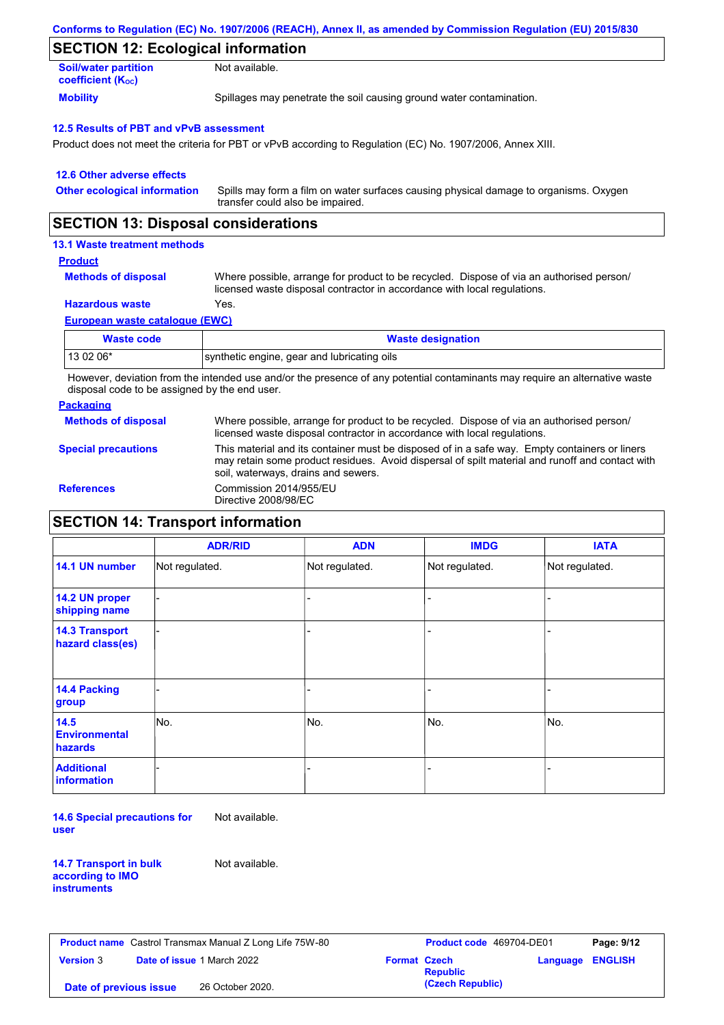| Conforms to Regulation (EC) No. 1907/2006 (REACH), Annex II, as amended by Commission Regulation (EU) 2015/830 |  |
|----------------------------------------------------------------------------------------------------------------|--|
|----------------------------------------------------------------------------------------------------------------|--|

## **SECTION 12: Ecological information**

| <b>Soil/water partition</b> | Not available.                                                       |
|-----------------------------|----------------------------------------------------------------------|
| <b>coefficient (Koc)</b>    |                                                                      |
| <b>Mobility</b>             | Spillages may penetrate the soil causing ground water contamination. |

#### **12.5 Results of PBT and vPvB assessment**

Product does not meet the criteria for PBT or vPvB according to Regulation (EC) No. 1907/2006, Annex XIII.

| 12.6 Other adverse effects          |                                                                                                                           |
|-------------------------------------|---------------------------------------------------------------------------------------------------------------------------|
| <b>Other ecological information</b> | Spills may form a film on water surfaces causing physical damage to organisms. Oxygen<br>transfer could also be impaired. |

### **SECTION 13: Disposal considerations**

#### **13.1 Waste treatment methods**

#### **Product**

**Methods of disposal**

Where possible, arrange for product to be recycled. Dispose of via an authorised person/ licensed waste disposal contractor in accordance with local regulations.

#### **Hazardous waste** Yes.

**European waste catalogue (EWC)**

| Waste code | <b>Waste designation</b>                    |
|------------|---------------------------------------------|
| 13 02 06*  | synthetic engine, gear and lubricating oils |

However, deviation from the intended use and/or the presence of any potential contaminants may require an alternative waste disposal code to be assigned by the end user.

#### **Packaging**

**Methods of disposal** Where possible, arrange for product to be recycled. Dispose of via an authorised person/ licensed waste disposal contractor in accordance with local regulations.

**Special precautions**

This material and its container must be disposed of in a safe way. Empty containers or liners

may retain some product residues. Avoid dispersal of spilt material and runoff and contact with soil, waterways, drains and sewers.

**References** Commission 2014/955/EU Directive 2008/98/EC

### **SECTION 14: Transport information**

|                                           | <b>ADR/RID</b> | <b>ADN</b>     | <b>IMDG</b>    | <b>IATA</b>    |  |  |
|-------------------------------------------|----------------|----------------|----------------|----------------|--|--|
| 14.1 UN number                            | Not regulated. | Not regulated. | Not regulated. | Not regulated. |  |  |
| 14.2 UN proper<br>shipping name           |                |                | -              |                |  |  |
| <b>14.3 Transport</b><br>hazard class(es) |                |                | -              |                |  |  |
| 14.4 Packing<br>group                     |                |                | -              |                |  |  |
| 14.5<br><b>Environmental</b><br>hazards   | No.            | No.            | No.            | No.            |  |  |
| <b>Additional</b><br><b>information</b>   |                |                |                |                |  |  |

**14.6 Special precautions for user** Not available.

**14.7 Transport in bulk according to IMO instruments**

Not available.

|                        | <b>Product name</b> Castrol Transmax Manual Z Long Life 75W-80 |                     | <b>Product code</b> 469704-DE01 |                         | Page: 9/12 |
|------------------------|----------------------------------------------------------------|---------------------|---------------------------------|-------------------------|------------|
| <b>Version 3</b>       | <b>Date of issue 1 March 2022</b>                              | <b>Format Czech</b> | <b>Republic</b>                 | <b>Language ENGLISH</b> |            |
| Date of previous issue | 26 October 2020.                                               |                     | (Czech Republic)                |                         |            |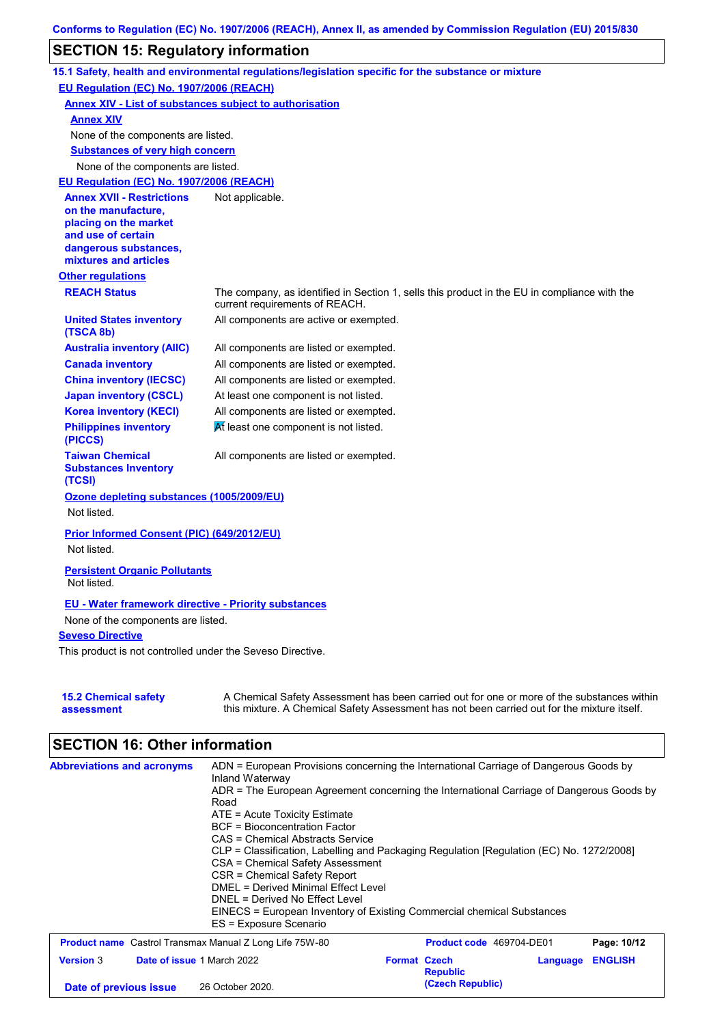## **SECTION 15: Regulatory information**

|                                                                 | 15.1 Safety, health and environmental regulations/legislation specific for the substance or mixture |
|-----------------------------------------------------------------|-----------------------------------------------------------------------------------------------------|
| EU Regulation (EC) No. 1907/2006 (REACH)                        |                                                                                                     |
| <b>Annex XIV - List of substances subject to authorisation</b>  |                                                                                                     |
| <b>Annex XIV</b>                                                |                                                                                                     |
| None of the components are listed.                              |                                                                                                     |
| <b>Substances of very high concern</b>                          |                                                                                                     |
| None of the components are listed.                              |                                                                                                     |
| EU Regulation (EC) No. 1907/2006 (REACH)                        |                                                                                                     |
| <b>Annex XVII - Restrictions</b>                                | Not applicable.                                                                                     |
| on the manufacture.                                             |                                                                                                     |
| placing on the market                                           |                                                                                                     |
| and use of certain                                              |                                                                                                     |
| dangerous substances,<br>mixtures and articles                  |                                                                                                     |
| <b>Other regulations</b>                                        |                                                                                                     |
| <b>REACH Status</b>                                             | The company, as identified in Section 1, sells this product in the EU in compliance with the        |
|                                                                 | current requirements of REACH.                                                                      |
| <b>United States inventory</b><br>(TSCA 8b)                     | All components are active or exempted.                                                              |
| <b>Australia inventory (AIIC)</b>                               | All components are listed or exempted.                                                              |
| <b>Canada inventory</b>                                         | All components are listed or exempted.                                                              |
| <b>China inventory (IECSC)</b>                                  | All components are listed or exempted.                                                              |
| <b>Japan inventory (CSCL)</b>                                   | At least one component is not listed.                                                               |
| <b>Korea inventory (KECI)</b>                                   | All components are listed or exempted.                                                              |
| <b>Philippines inventory</b><br>(PICCS)                         | At least one component is not listed.                                                               |
| <b>Taiwan Chemical</b><br><b>Substances Inventory</b><br>(TCSI) | All components are listed or exempted.                                                              |
| Ozone depleting substances (1005/2009/EU)<br>Not listed.        |                                                                                                     |
| Prior Informed Consent (PIC) (649/2012/EU)                      |                                                                                                     |
| Not listed.                                                     |                                                                                                     |
| <b>Persistent Organic Pollutants</b>                            |                                                                                                     |
| Not listed.                                                     |                                                                                                     |
| <b>EU - Water framework directive - Priority substances</b>     |                                                                                                     |
| None of the components are listed.                              |                                                                                                     |
| <b>Seveso Directive</b>                                         |                                                                                                     |
| This product is not controlled under the Seveso Directive.      |                                                                                                     |
|                                                                 |                                                                                                     |
|                                                                 |                                                                                                     |
| <b>15.2 Chemical safety</b>                                     | A Chemical Safety Assessment has been carried out for one or more of the substances within          |
| assessment                                                      | this mixture. A Chemical Safety Assessment has not been carried out for the mixture itself.         |

# **SECTION 16: Other information**

| <b>Abbreviations and acronyms</b>                              | ADN = European Provisions concerning the International Carriage of Dangerous Goods by<br>Inland Waterway<br>ADR = The European Agreement concerning the International Carriage of Dangerous Goods by<br>Road<br>$ATE = Acute Toxicity Estimate$<br>BCF = Bioconcentration Factor<br>CAS = Chemical Abstracts Service<br>CLP = Classification, Labelling and Packaging Regulation [Regulation (EC) No. 1272/2008]<br>CSA = Chemical Safety Assessment<br>CSR = Chemical Safety Report<br><b>DMEL = Derived Minimal Effect Level</b><br>DNEL = Derived No Effect Level<br>EINECS = European Inventory of Existing Commercial chemical Substances<br>ES = Exposure Scenario |                     |                          |          |                |
|----------------------------------------------------------------|--------------------------------------------------------------------------------------------------------------------------------------------------------------------------------------------------------------------------------------------------------------------------------------------------------------------------------------------------------------------------------------------------------------------------------------------------------------------------------------------------------------------------------------------------------------------------------------------------------------------------------------------------------------------------|---------------------|--------------------------|----------|----------------|
| <b>Product name</b> Castrol Transmax Manual Z Long Life 75W-80 |                                                                                                                                                                                                                                                                                                                                                                                                                                                                                                                                                                                                                                                                          |                     | Product code 469704-DE01 |          | Page: 10/12    |
| <b>Version 3</b><br><b>Date of issue 1 March 2022</b>          |                                                                                                                                                                                                                                                                                                                                                                                                                                                                                                                                                                                                                                                                          | <b>Format Czech</b> | <b>Republic</b>          | Language | <b>ENGLISH</b> |
| Date of previous issue                                         | 26 October 2020.                                                                                                                                                                                                                                                                                                                                                                                                                                                                                                                                                                                                                                                         |                     | (Czech Republic)         |          |                |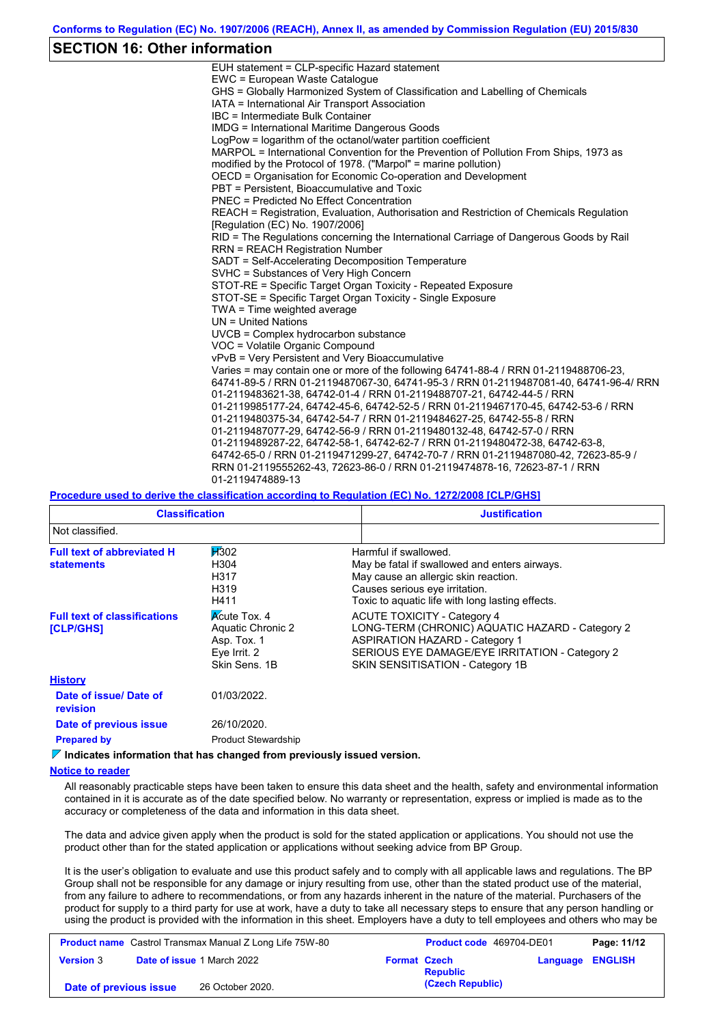### **SECTION 16: Other information**

| EUH statement = CLP-specific Hazard statement                                           |
|-----------------------------------------------------------------------------------------|
| EWC = European Waste Catalogue                                                          |
| GHS = Globally Harmonized System of Classification and Labelling of Chemicals           |
| IATA = International Air Transport Association                                          |
| IBC = Intermediate Bulk Container                                                       |
| <b>IMDG</b> = International Maritime Dangerous Goods                                    |
| LogPow = logarithm of the octanol/water partition coefficient                           |
| MARPOL = International Convention for the Prevention of Pollution From Ships, 1973 as   |
| modified by the Protocol of 1978. ("Marpol" = marine pollution)                         |
| OECD = Organisation for Economic Co-operation and Development                           |
| PBT = Persistent, Bioaccumulative and Toxic                                             |
| <b>PNEC</b> = Predicted No Effect Concentration                                         |
| REACH = Registration, Evaluation, Authorisation and Restriction of Chemicals Regulation |
| [Regulation (EC) No. 1907/2006]                                                         |
| RID = The Regulations concerning the International Carriage of Dangerous Goods by Rail  |
| <b>RRN = REACH Registration Number</b>                                                  |
| SADT = Self-Accelerating Decomposition Temperature                                      |
| SVHC = Substances of Very High Concern                                                  |
| STOT-RE = Specific Target Organ Toxicity - Repeated Exposure                            |
| STOT-SE = Specific Target Organ Toxicity - Single Exposure                              |
| TWA = Time weighted average                                                             |
| $UN = United Nations$                                                                   |
| $UVCB = Complex\;hydrocarbon\; substance$                                               |
| VOC = Volatile Organic Compound                                                         |
| vPvB = Very Persistent and Very Bioaccumulative                                         |
| Varies = may contain one or more of the following 64741-88-4 / RRN 01-2119488706-23,    |
| 64741-89-5 / RRN 01-2119487067-30, 64741-95-3 / RRN 01-2119487081-40, 64741-96-4/ RRN   |
| 01-2119483621-38, 64742-01-4 / RRN 01-2119488707-21, 64742-44-5 / RRN                   |
| 01-2119985177-24, 64742-45-6, 64742-52-5 / RRN 01-2119467170-45, 64742-53-6 / RRN       |
| 01-2119480375-34, 64742-54-7 / RRN 01-2119484627-25, 64742-55-8 / RRN                   |
| 01-2119487077-29, 64742-56-9 / RRN 01-2119480132-48, 64742-57-0 / RRN                   |
| 01-2119489287-22, 64742-58-1, 64742-62-7 / RRN 01-2119480472-38, 64742-63-8,            |
| 64742-65-0 / RRN 01-2119471299-27, 64742-70-7 / RRN 01-2119487080-42, 72623-85-9 /      |
| RRN 01-2119555262-43, 72623-86-0 / RRN 01-2119474878-16, 72623-87-1 / RRN               |
| 01-2119474889-13                                                                        |

#### **Procedure used to derive the classification according to Regulation (EC) No. 1272/2008 [CLP/GHS]**

| <b>Classification</b>                                                                                                                               |                                              | <b>Justification</b>                                                                                                                                                                                                 |
|-----------------------------------------------------------------------------------------------------------------------------------------------------|----------------------------------------------|----------------------------------------------------------------------------------------------------------------------------------------------------------------------------------------------------------------------|
| Not classified.                                                                                                                                     |                                              |                                                                                                                                                                                                                      |
| <b>Full text of abbreviated H</b><br><b>statements</b>                                                                                              | <b>H</b> 302<br>H304<br>H317<br>H319<br>H411 | Harmful if swallowed.<br>May be fatal if swallowed and enters airways.<br>May cause an allergic skin reaction.<br>Causes serious eye irritation.<br>Toxic to aquatic life with long lasting effects.                 |
| <b>Acute Tox. 4</b><br><b>Full text of classifications</b><br>Aquatic Chronic 2<br><b>[CLP/GHS]</b><br>Asp. Tox. 1<br>Eye Irrit. 2<br>Skin Sens, 1B |                                              | <b>ACUTE TOXICITY - Category 4</b><br>LONG-TERM (CHRONIC) AQUATIC HAZARD - Category 2<br><b>ASPIRATION HAZARD - Category 1</b><br>SERIOUS EYE DAMAGE/EYE IRRITATION - Category 2<br>SKIN SENSITISATION - Category 1B |
| <b>History</b>                                                                                                                                      |                                              |                                                                                                                                                                                                                      |
| Date of issue/Date of<br><b>revision</b>                                                                                                            | 01/03/2022.                                  |                                                                                                                                                                                                                      |
| Date of previous issue                                                                                                                              | 26/10/2020.                                  |                                                                                                                                                                                                                      |
| <b>Prepared by</b>                                                                                                                                  | <b>Product Stewardship</b>                   |                                                                                                                                                                                                                      |

**Indicates information that has changed from previously issued version.**

#### **Notice to reader**

All reasonably practicable steps have been taken to ensure this data sheet and the health, safety and environmental information contained in it is accurate as of the date specified below. No warranty or representation, express or implied is made as to the accuracy or completeness of the data and information in this data sheet.

The data and advice given apply when the product is sold for the stated application or applications. You should not use the product other than for the stated application or applications without seeking advice from BP Group.

It is the user's obligation to evaluate and use this product safely and to comply with all applicable laws and regulations. The BP Group shall not be responsible for any damage or injury resulting from use, other than the stated product use of the material, from any failure to adhere to recommendations, or from any hazards inherent in the nature of the material. Purchasers of the product for supply to a third party for use at work, have a duty to take all necessary steps to ensure that any person handling or using the product is provided with the information in this sheet. Employers have a duty to tell employees and others who may be

| <b>Product name</b> Castrol Transmax Manual Z Long Life 75W-80 |  | <b>Product code</b> 469704-DE01   |                     | Page: 11/12      |                         |  |
|----------------------------------------------------------------|--|-----------------------------------|---------------------|------------------|-------------------------|--|
| <b>Version 3</b>                                               |  | <b>Date of issue 1 March 2022</b> | <b>Format Czech</b> | <b>Republic</b>  | <b>Language ENGLISH</b> |  |
| Date of previous issue                                         |  | 26 October 2020.                  |                     | (Czech Republic) |                         |  |